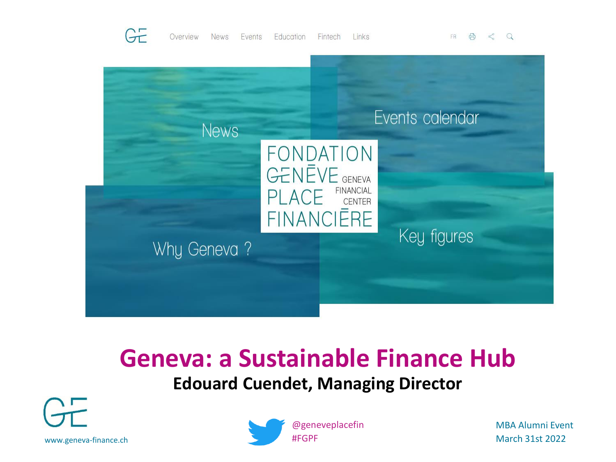





#### **Geneva: a Sustainable Finance Hub Edouard Cuendet, Managing Director**





MBA Alumni Event March 31st 2022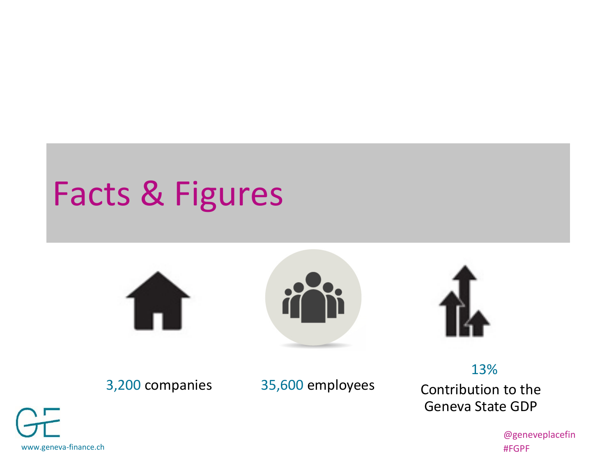# Facts & Figures







3,200 companies 35,600 employees

13% Contribution to the Geneva State GDP

www.geneva-finance.ch

@geneveplacefin #FGPF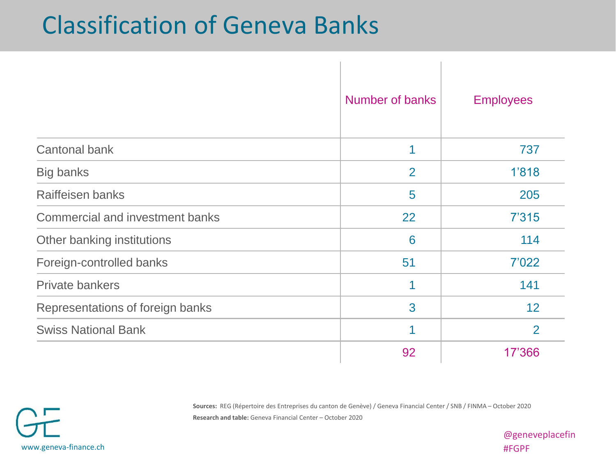### Classification of Geneva Banks

|                                        | Number of banks | <b>Employees</b> |
|----------------------------------------|-----------------|------------------|
| <b>Cantonal bank</b>                   | 1               | 737              |
| Big banks                              | 2               | 1'818            |
| Raiffeisen banks                       | 5               | 205              |
| <b>Commercial and investment banks</b> | 22              | 7'315            |
| Other banking institutions             | 6               | 114              |
| Foreign-controlled banks               | 51              | 7'022            |
| <b>Private bankers</b>                 | 1               | 141              |
| Representations of foreign banks       | 3               | 12               |
| <b>Swiss National Bank</b>             | 1               | $\overline{2}$   |
|                                        | 92              | 17'366           |

 $\mathbf{L}$ 

 $\mathbb{I}$ 

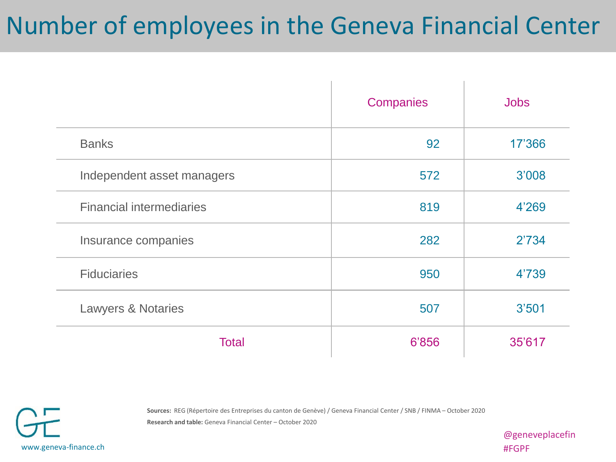## Number of employees in the Geneva Financial Center

|                                 | Companies | <b>Jobs</b> |
|---------------------------------|-----------|-------------|
| <b>Banks</b>                    | 92        | 17'366      |
| Independent asset managers      | 572       | 3'008       |
| <b>Financial intermediaries</b> | 819       | 4'269       |
| Insurance companies             | 282       | 2'734       |
| <b>Fiduciaries</b>              | 950       | 4'739       |
| <b>Lawyers &amp; Notaries</b>   | 507       | 3'501       |
| <b>Total</b>                    | 6'856     | 35'617      |

**Sources:** REG (Répertoire des Entreprises du canton de Genève) / Geneva Financial Center / SNB / FINMA – October 2020 **Research and table:** Geneva Financial Center – October 2020

www.geneva-finance.ch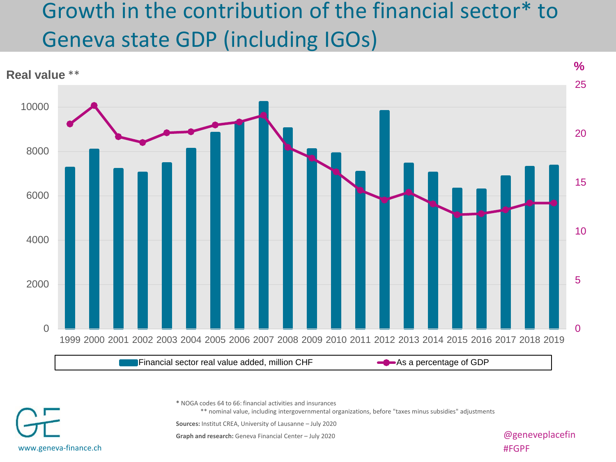#### Growth in the contribution of the financial sector\* to Geneva state GDP (including IGOs)



**\*** NOGA codes 64 to 66: financial activities and insurances

\*\* nominal value, including intergovernmental organizations, before "taxes minus subsidies" adjustments

**Sources:** Institut CREA, University of Lausanne – July 2020

**Graph and research:** Geneva Financial Center – July 2020 **and Straph and Test and American** Center – July 2020

#FGPF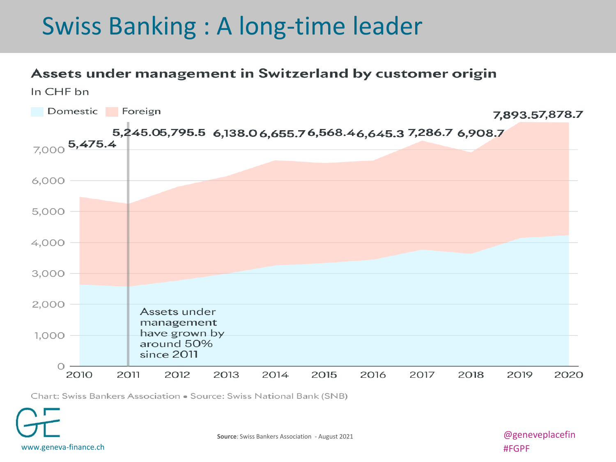### Swiss Banking : A long-time leader

#### Assets under management in Switzerland by customer origin



Chart: Swiss Bankers Association . Source: Swiss National Bank (SNB)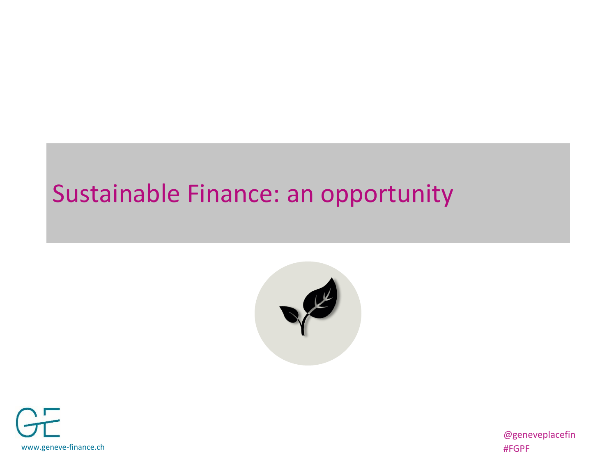### Sustainable Finance: an opportunity





@geneveplacefin #FGPF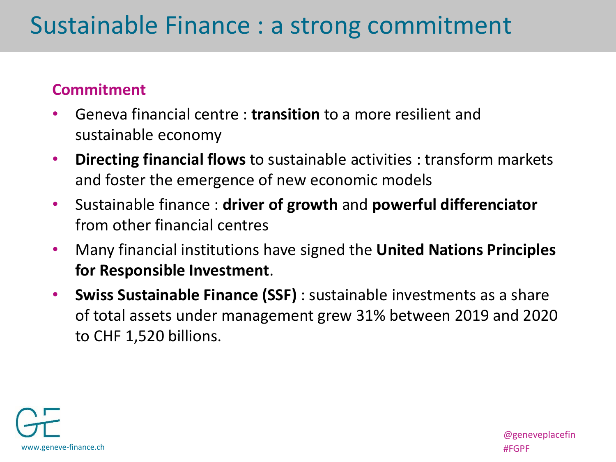#### **Commitment**

- Geneva financial centre : **transition** to a more resilient and sustainable economy
- **Directing financial flows** to sustainable activities : transform markets and foster the emergence of new economic models
- Sustainable finance : **driver of growth** and **powerful differenciator** from other financial centres
- Many financial institutions have signed the **United Nations Principles for Responsible Investment**.
- **Swiss Sustainable Finance (SSF)** : sustainable investments as a share of total assets under management grew 31% between 2019 and 2020 to CHF 1,520 billions.

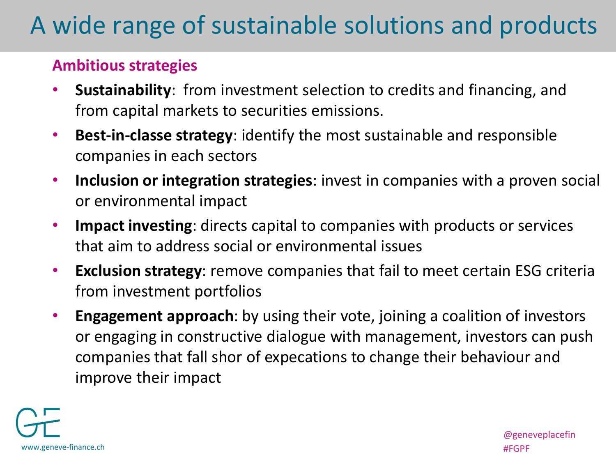## A wide range of sustainable solutions and products

#### **Ambitious strategies**

- **Sustainability**: from investment selection to credits and financing, and from capital markets to securities emissions.
- **Best-in-classe strategy**: identify the most sustainable and responsible companies in each sectors
- **Inclusion or integration strategies**: invest in companies with a proven social or environmental impact
- **Impact investing**: directs capital to companies with products or services that aim to address social or environmental issues
- **Exclusion strategy**: remove companies that fail to meet certain ESG criteria from investment portfolios
- **Engagement approach**: by using their vote, joining a coalition of investors or engaging in constructive dialogue with management, investors can push companies that fall shor of expecations to change their behaviour and improve their impact



@geneveplacefin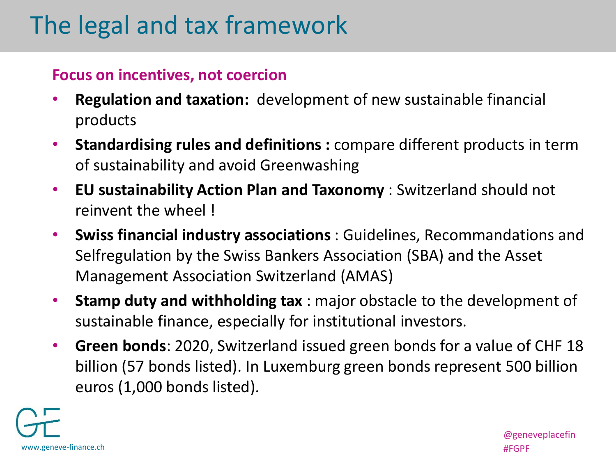## The legal and tax framework

#### **Focus on incentives, not coercion**

- **Regulation and taxation:** development of new sustainable financial products
- **Standardising rules and definitions :** compare different products in term of sustainability and avoid Greenwashing
- **EU sustainability Action Plan and Taxonomy** : Switzerland should not reinvent the wheel !
- **Swiss financial industry associations** : Guidelines, Recommandations and Selfregulation by the Swiss Bankers Association (SBA) and the Asset Management Association Switzerland (AMAS)
- **Stamp duty and withholding tax** : major obstacle to the development of sustainable finance, especially for institutional investors.
- **Green bonds**: 2020, Switzerland issued green bonds for a value of CHF 18 billion (57 bonds listed). In Luxemburg green bonds represent 500 billion euros (1,000 bonds listed).



@geneveplacefin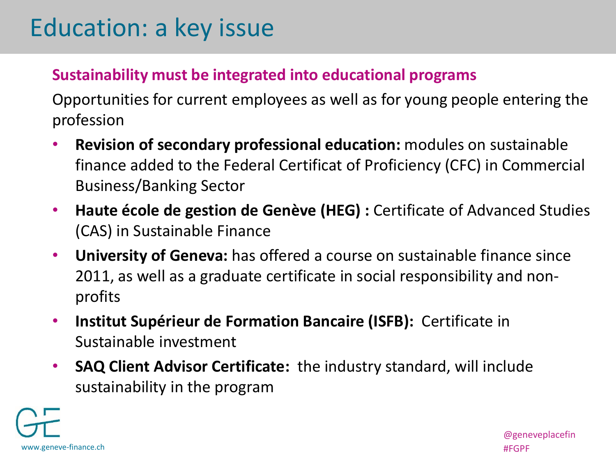## Education: a key issue

#### **Sustainability must be integrated into educational programs**

Opportunities for current employees as well as for young people entering the profession

- **Revision of secondary professional education:** modules on sustainable finance added to the Federal Certificat of Proficiency (CFC) in Commercial Business/Banking Sector
- **Haute école de gestion de Genève (HEG) :** Certificate of Advanced Studies (CAS) in Sustainable Finance
- **University of Geneva:** has offered a course on sustainable finance since 2011, as well as a graduate certificate in social responsibility and nonprofits
- **Institut Supérieur de Formation Bancaire (ISFB):** Certificate in Sustainable investment
- **SAQ Client Advisor Certificate:** the industry standard, will include sustainability in the program

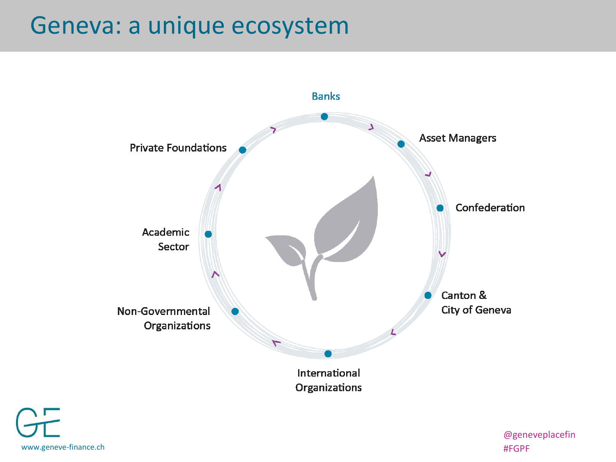### Geneva: a unique ecosystem



www.geneve-finance.ch #FGPF

@geneveplacefin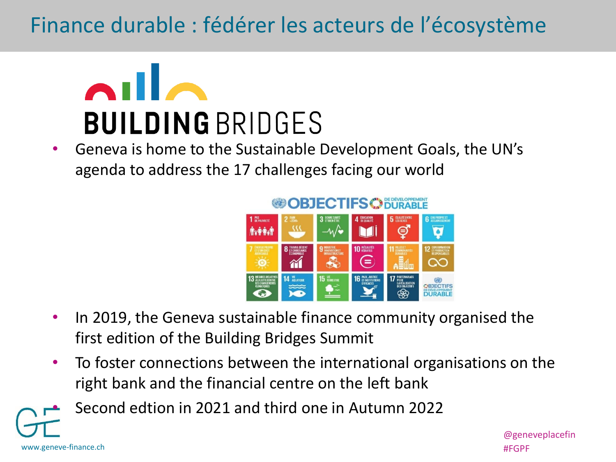#### Finance durable : fédérer les acteurs de l'écosystème



• Geneva is home to the Sustainable Development Goals, the UN's agenda to address the 17 challenges facing our world



- In 2019, the Geneva sustainable finance community organised the first edition of the Building Bridges Summit
- To foster connections between the international organisations on the right bank and the financial centre on the left bank

• Second edtion in 2021 and third one in Autumn 2022